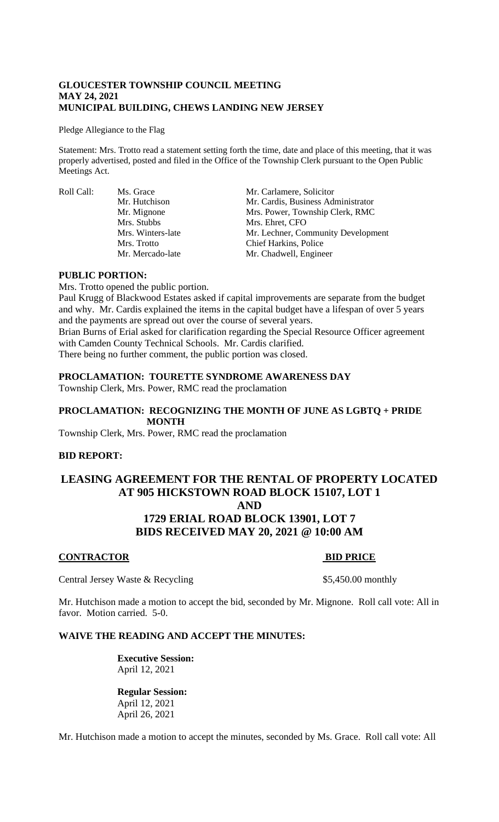#### **GLOUCESTER TOWNSHIP COUNCIL MEETING MAY 24, 2021 MUNICIPAL BUILDING, CHEWS LANDING NEW JERSEY**

Pledge Allegiance to the Flag

Statement: Mrs. Trotto read a statement setting forth the time, date and place of this meeting, that it was properly advertised, posted and filed in the Office of the Township Clerk pursuant to the Open Public Meetings Act.

Roll Call: Ms. Grace Mr. Carlamere, Solicitor Mr. Hutchison Mr. Cardis, Business Administrator Mr. Mignone Mrs. Power, Township Clerk, RMC Mrs. Stubbs Mrs. Ehret, CFO Mrs. Winters-late Mr. Lechner, Community Development<br>Mrs. Trotto Chief Harkins. Police Mrs. Trotto Chief Harkins, Police<br>Mr Mercado-late Mr Chadwell Engine Mr. Chadwell, Engineer

### **PUBLIC PORTION:**

Mrs. Trotto opened the public portion.

Paul Krugg of Blackwood Estates asked if capital improvements are separate from the budget and why. Mr. Cardis explained the items in the capital budget have a lifespan of over 5 years and the payments are spread out over the course of several years.

Brian Burns of Erial asked for clarification regarding the Special Resource Officer agreement with Camden County Technical Schools. Mr. Cardis clarified.

There being no further comment, the public portion was closed.

### **PROCLAMATION: TOURETTE SYNDROME AWARENESS DAY**

Township Clerk, Mrs. Power, RMC read the proclamation

## **PROCLAMATION: RECOGNIZING THE MONTH OF JUNE AS LGBTQ + PRIDE MONTH**

Township Clerk, Mrs. Power, RMC read the proclamation

#### **BID REPORT:**

# **LEASING AGREEMENT FOR THE RENTAL OF PROPERTY LOCATED AT 905 HICKSTOWN ROAD BLOCK 15107, LOT 1 AND 1729 ERIAL ROAD BLOCK 13901, LOT 7 BIDS RECEIVED MAY 20, 2021 @ 10:00 AM**

## **CONTRACTOR BID PRICE**

Central Jersey Waste & Recycling \$5,450.00 monthly

Mr. Hutchison made a motion to accept the bid, seconded by Mr. Mignone. Roll call vote: All in favor. Motion carried. 5-0.

#### **WAIVE THE READING AND ACCEPT THE MINUTES:**

**Executive Session:** April 12, 2021

**Regular Session:** April 12, 2021 April 26, 2021

Mr. Hutchison made a motion to accept the minutes, seconded by Ms. Grace. Roll call vote: All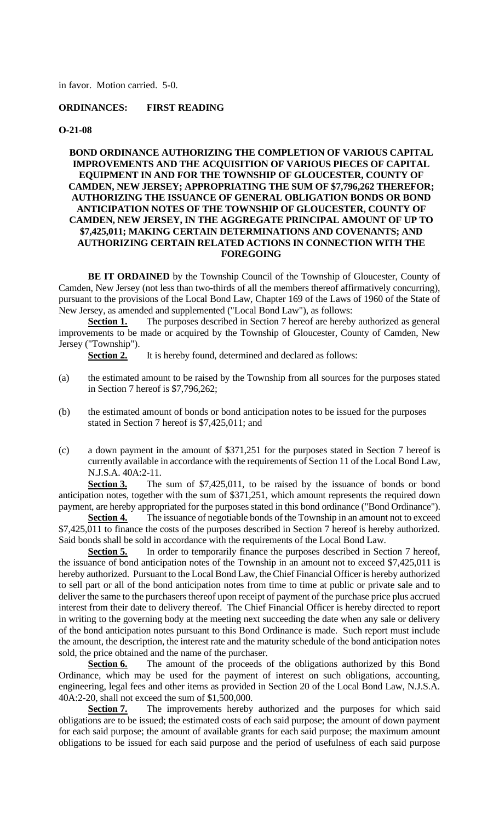in favor. Motion carried. 5-0.

# **ORDINANCES: FIRST READING**

#### **O-21-08**

## **BOND ORDINANCE AUTHORIZING THE COMPLETION OF VARIOUS CAPITAL IMPROVEMENTS AND THE ACQUISITION OF VARIOUS PIECES OF CAPITAL EQUIPMENT IN AND FOR THE TOWNSHIP OF GLOUCESTER, COUNTY OF CAMDEN, NEW JERSEY; APPROPRIATING THE SUM OF \$7,796,262 THEREFOR; AUTHORIZING THE ISSUANCE OF GENERAL OBLIGATION BONDS OR BOND ANTICIPATION NOTES OF THE TOWNSHIP OF GLOUCESTER, COUNTY OF CAMDEN, NEW JERSEY, IN THE AGGREGATE PRINCIPAL AMOUNT OF UP TO \$7,425,011; MAKING CERTAIN DETERMINATIONS AND COVENANTS; AND AUTHORIZING CERTAIN RELATED ACTIONS IN CONNECTION WITH THE FOREGOING**

**BE IT ORDAINED** by the Township Council of the Township of Gloucester, County of Camden, New Jersey (not less than two-thirds of all the members thereof affirmatively concurring), pursuant to the provisions of the Local Bond Law, Chapter 169 of the Laws of 1960 of the State of New Jersey, as amended and supplemented ("Local Bond Law"), as follows:

**Section 1.** The purposes described in Section 7 hereof are hereby authorized as general improvements to be made or acquired by the Township of Gloucester, County of Camden, New Jersey ("Township").

**Section 2.** It is hereby found, determined and declared as follows:

- (a) the estimated amount to be raised by the Township from all sources for the purposes stated in Section 7 hereof is \$7,796,262;
- (b) the estimated amount of bonds or bond anticipation notes to be issued for the purposes stated in Section 7 hereof is \$7,425,011; and
- (c) a down payment in the amount of \$371,251 for the purposes stated in Section 7 hereof is currently available in accordance with the requirements of Section 11 of the Local Bond Law, N.J.S.A. 40A:2-11.

**Section 3.** The sum of \$7,425,011, to be raised by the issuance of bonds or bond anticipation notes, together with the sum of \$371,251, which amount represents the required down payment, are hereby appropriated for the purposes stated in this bond ordinance ("Bond Ordinance").

**Section 4.** The issuance of negotiable bonds of the Township in an amount not to exceed \$7,425,011 to finance the costs of the purposes described in Section 7 hereof is hereby authorized. Said bonds shall be sold in accordance with the requirements of the Local Bond Law.

**Section 5.** In order to temporarily finance the purposes described in Section 7 hereof, the issuance of bond anticipation notes of the Township in an amount not to exceed \$7,425,011 is hereby authorized. Pursuant to the Local Bond Law, the Chief Financial Officer is hereby authorized to sell part or all of the bond anticipation notes from time to time at public or private sale and to deliver the same to the purchasers thereof upon receipt of payment of the purchase price plus accrued interest from their date to delivery thereof. The Chief Financial Officer is hereby directed to report in writing to the governing body at the meeting next succeeding the date when any sale or delivery of the bond anticipation notes pursuant to this Bond Ordinance is made. Such report must include the amount, the description, the interest rate and the maturity schedule of the bond anticipation notes sold, the price obtained and the name of the purchaser.

**Section 6.** The amount of the proceeds of the obligations authorized by this Bond Ordinance, which may be used for the payment of interest on such obligations, accounting, engineering, legal fees and other items as provided in Section 20 of the Local Bond Law, N.J.S.A. 40A:2-20, shall not exceed the sum of \$1,500,000.

**Section 7.** The improvements hereby authorized and the purposes for which said obligations are to be issued; the estimated costs of each said purpose; the amount of down payment for each said purpose; the amount of available grants for each said purpose; the maximum amount obligations to be issued for each said purpose and the period of usefulness of each said purpose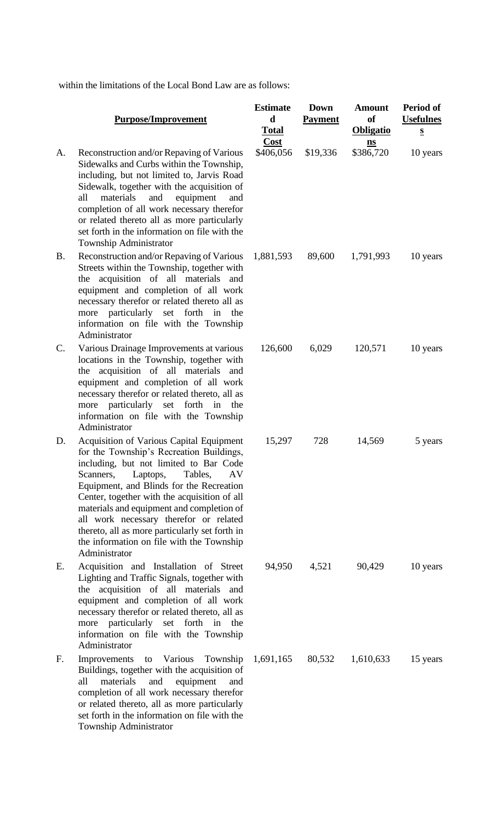within the limitations of the Local Bond Law are as follows:

or related thereto, all as more particularly set forth in the information on file with the

Township Administrator

|    | <b>Purpose/Improvement</b>                                                                                                                                                                                                                                                                                                                                                                                                                                                  | <b>Estimate</b><br>d<br><b>Total</b> | <b>Down</b><br><b>Payment</b> | <b>Amount</b><br>of<br><b>Obligatio</b> | <b>Period of</b><br><b>Usefulnes</b><br>$\mathbf{s}$ |
|----|-----------------------------------------------------------------------------------------------------------------------------------------------------------------------------------------------------------------------------------------------------------------------------------------------------------------------------------------------------------------------------------------------------------------------------------------------------------------------------|--------------------------------------|-------------------------------|-----------------------------------------|------------------------------------------------------|
| A. | Reconstruction and/or Repaving of Various<br>Sidewalks and Curbs within the Township,<br>including, but not limited to, Jarvis Road<br>Sidewalk, together with the acquisition of<br>all<br>materials<br>and<br>equipment<br>and<br>completion of all work necessary therefor<br>or related thereto all as more particularly<br>set forth in the information on file with the<br>Township Administrator                                                                     | Cost<br>\$406,056                    | \$19,336                      | $\underline{\mathbf{ns}}$<br>\$386,720  | 10 years                                             |
| B. | Reconstruction and/or Repaving of Various<br>Streets within the Township, together with<br>the acquisition of all materials and<br>equipment and completion of all work<br>necessary therefor or related thereto all as<br>more particularly set forth in the<br>information on file with the Township<br>Administrator                                                                                                                                                     | 1,881,593                            | 89,600                        | 1,791,993                               | 10 years                                             |
| C. | Various Drainage Improvements at various<br>locations in the Township, together with<br>the acquisition of all materials<br>and<br>equipment and completion of all work<br>necessary therefor or related thereto, all as<br>more particularly set forth in the<br>information on file with the Township<br>Administrator                                                                                                                                                    | 126,600                              | 6,029                         | 120,571                                 | 10 years                                             |
| D. | Acquisition of Various Capital Equipment<br>for the Township's Recreation Buildings,<br>including, but not limited to Bar Code<br>Tables,<br>Laptops,<br>AV<br>Scanners,<br>Equipment, and Blinds for the Recreation<br>Center, together with the acquisition of all<br>materials and equipment and completion of<br>all work necessary therefor or related<br>thereto, all as more particularly set forth in<br>the information on file with the Township<br>Administrator | 15,297                               | 728                           | 14,569                                  | 5 years                                              |
| E. | Acquisition and Installation of Street<br>Lighting and Traffic Signals, together with<br>the acquisition of all materials and<br>equipment and completion of all work<br>necessary therefor or related thereto, all as<br>particularly set forth<br>in<br>the<br>more<br>information on file with the Township<br>Administrator                                                                                                                                             | 94,950                               | 4,521                         | 90,429                                  | 10 years                                             |
| F. | Improvements to Various Township<br>Buildings, together with the acquisition of<br>materials<br>all<br>and<br>equipment<br>and<br>completion of all work necessary therefor                                                                                                                                                                                                                                                                                                 | 1,691,165                            | 80,532                        | 1,610,633                               | 15 years                                             |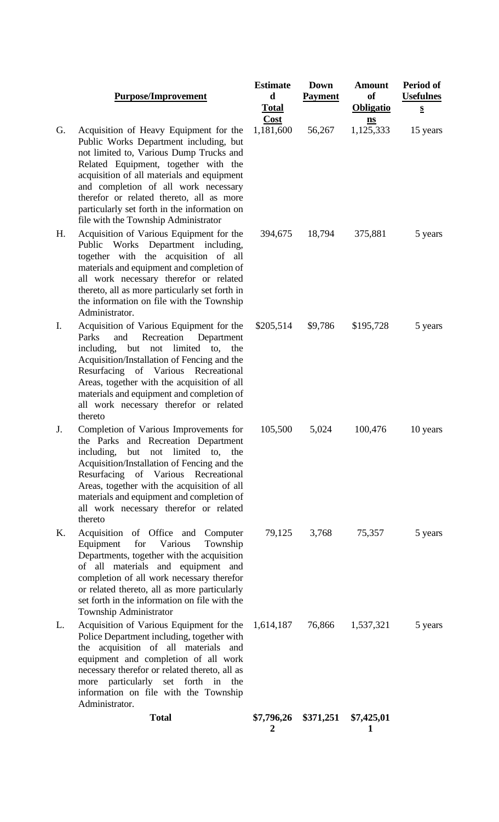#### **Purpose/Improvement**

- G. Acquisition of Heavy Equipment for the Public Works Department including, but not limited to, Various Dump Trucks and Related Equipment, together with the acquisition of all materials and equipment and completion of all work necessary therefor or related thereto, all as more particularly set forth in the information on file with the Township Administrator
- H. Acquisition of Various Equipment for the Public Works Department including, together with the acquisition of all materials and equipment and completion of all work necessary therefor or related thereto, all as more particularly set forth in the information on file with the Township Administrator.
- I. Acquisition of Various Equipment for the Parks and Recreation Department including, but not limited to, the Acquisition/Installation of Fencing and the Resurfacing of Various Recreational Areas, together with the acquisition of all materials and equipment and completion of all work necessary therefor or related thereto
- J. Completion of Various Improvements for the Parks and Recreation Department including, but not limited to, the Acquisition/Installation of Fencing and the Resurfacing of Various Recreational Areas, together with the acquisition of all materials and equipment and completion of all work necessary therefor or related thereto
- K. Acquisition of Office and Computer Equipment for Various Township Departments, together with the acquisition of all materials and equipment and completion of all work necessary therefor or related thereto, all as more particularly set forth in the information on file with the Township Administrator
- L. Acquisition of Various Equipment for the Police Department including, together with the acquisition of all materials and equipment and completion of all work necessary therefor or related thereto, all as more particularly set forth in the information on file with the Township Administrator.

| /Improvement                                                                                                                                                                                                                         | <b>Estimate</b><br>d<br><b>Total</b> | Down<br><b>Payment</b>          | <b>Amount</b><br><sub>of</sub><br><b>Obligatio</b>          | Period of<br><b>Usefulnes</b><br>$\mathbf{s}$ |
|--------------------------------------------------------------------------------------------------------------------------------------------------------------------------------------------------------------------------------------|--------------------------------------|---------------------------------|-------------------------------------------------------------|-----------------------------------------------|
| eavy Equipment for the<br>partment including, but<br>rious Dump Trucks and<br>ent, together with the<br>materials and equipment<br>of all work necessary<br>d thereto, all as more<br>th in the information on<br>ship Administrator | <b>Cost</b><br>1,181,600             | 56,267                          | $\underline{\mathbf{n}}\underline{\mathbf{s}}$<br>1,125,333 | 15 years                                      |
| rious Equipment for the<br>Department including,<br>he acquisition of all<br>pment and completion of<br>ary therefor or related<br>e particularly set forth in<br>i file with the Township                                           | 394,675                              | 18,794                          | 375,881                                                     | 5 years                                       |
| rious Equipment for the<br>ecreation<br>Department<br>not limited to, the<br>ation of Fencing and the<br>Various Recreational<br>ith the acquisition of all<br>pment and completion of<br>ary therefor or related                    | \$205,514                            | \$9,786                         | \$195,728                                                   | 5 years                                       |
| trious Improvements for<br><b>Recreation Department</b><br>not limited to, the<br>ation of Fencing and the<br>Various Recreational<br>ith the acquisition of all<br>pment and completion of<br>ary therefor or related               | 105,500                              | 5,024                           | 100,476                                                     | 10 years                                      |
| Office and Computer<br>Township<br>Various<br>ther with the acquisition<br>and equipment and<br>work necessary therefor<br>all as more particularly<br>ormation on file with the<br>strator                                          |                                      | 79,125 3,768                    | 75,357                                                      | 5 years                                       |
| rious Equipment for the<br>including, together with<br>of all materials and<br>ompletion of all work<br>or related thereto, all as<br>y set forth in the<br>ile with the Township                                                    |                                      |                                 | 1,614,187 76,866 1,537,321                                  | 5 years                                       |
| <b>Total</b>                                                                                                                                                                                                                         | 2                                    | \$7,796,26 \$371,251 \$7,425,01 | 1                                                           |                                               |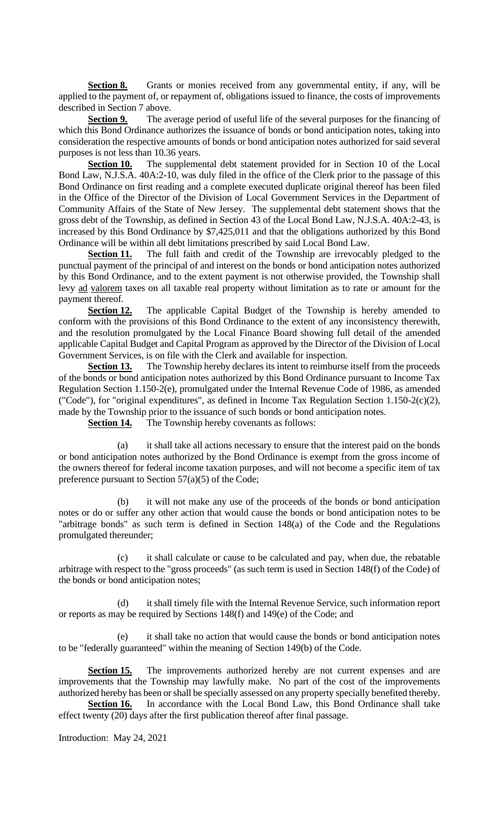**Section 8.** Grants or monies received from any governmental entity, if any, will be applied to the payment of, or repayment of, obligations issued to finance, the costs of improvements described in Section 7 above.

**Section 9.** The average period of useful life of the several purposes for the financing of which this Bond Ordinance authorizes the issuance of bonds or bond anticipation notes, taking into consideration the respective amounts of bonds or bond anticipation notes authorized for said several purposes is not less than 10.36 years.

**Section 10.** The supplemental debt statement provided for in Section 10 of the Local Bond Law, N.J.S.A. 40A:2-10, was duly filed in the office of the Clerk prior to the passage of this Bond Ordinance on first reading and a complete executed duplicate original thereof has been filed in the Office of the Director of the Division of Local Government Services in the Department of Community Affairs of the State of New Jersey. The supplemental debt statement shows that the gross debt of the Township, as defined in Section 43 of the Local Bond Law, N.J.S.A. 40A:2-43, is increased by this Bond Ordinance by \$7,425,011 and that the obligations authorized by this Bond Ordinance will be within all debt limitations prescribed by said Local Bond Law.

**Section 11.** The full faith and credit of the Township are irrevocably pledged to the punctual payment of the principal of and interest on the bonds or bond anticipation notes authorized by this Bond Ordinance, and to the extent payment is not otherwise provided, the Township shall levy ad valorem taxes on all taxable real property without limitation as to rate or amount for the payment thereof.

**Section 12.** The applicable Capital Budget of the Township is hereby amended to conform with the provisions of this Bond Ordinance to the extent of any inconsistency therewith, and the resolution promulgated by the Local Finance Board showing full detail of the amended applicable Capital Budget and Capital Program as approved by the Director of the Division of Local Government Services, is on file with the Clerk and available for inspection.

**Section 13.** The Township hereby declares its intent to reimburse itself from the proceeds of the bonds or bond anticipation notes authorized by this Bond Ordinance pursuant to Income Tax Regulation Section 1.150-2(e), promulgated under the Internal Revenue Code of 1986, as amended ("Code"), for "original expenditures", as defined in Income Tax Regulation Section 1.150-2(c)(2), made by the Township prior to the issuance of such bonds or bond anticipation notes.

**Section 14.** The Township hereby covenants as follows:

(a) it shall take all actions necessary to ensure that the interest paid on the bonds or bond anticipation notes authorized by the Bond Ordinance is exempt from the gross income of the owners thereof for federal income taxation purposes, and will not become a specific item of tax preference pursuant to Section 57(a)(5) of the Code;

it will not make any use of the proceeds of the bonds or bond anticipation notes or do or suffer any other action that would cause the bonds or bond anticipation notes to be "arbitrage bonds" as such term is defined in Section 148(a) of the Code and the Regulations promulgated thereunder;

(c) it shall calculate or cause to be calculated and pay, when due, the rebatable arbitrage with respect to the "gross proceeds" (as such term is used in Section 148(f) of the Code) of the bonds or bond anticipation notes;

(d) it shall timely file with the Internal Revenue Service, such information report or reports as may be required by Sections 148(f) and 149(e) of the Code; and

(e) it shall take no action that would cause the bonds or bond anticipation notes to be "federally guaranteed" within the meaning of Section 149(b) of the Code.

**Section 15.** The improvements authorized hereby are not current expenses and are improvements that the Township may lawfully make. No part of the cost of the improvements authorized hereby has been or shall be specially assessed on any property specially benefited thereby.

**Section 16.** In accordance with the Local Bond Law, this Bond Ordinance shall take effect twenty (20) days after the first publication thereof after final passage.

Introduction: May 24, 2021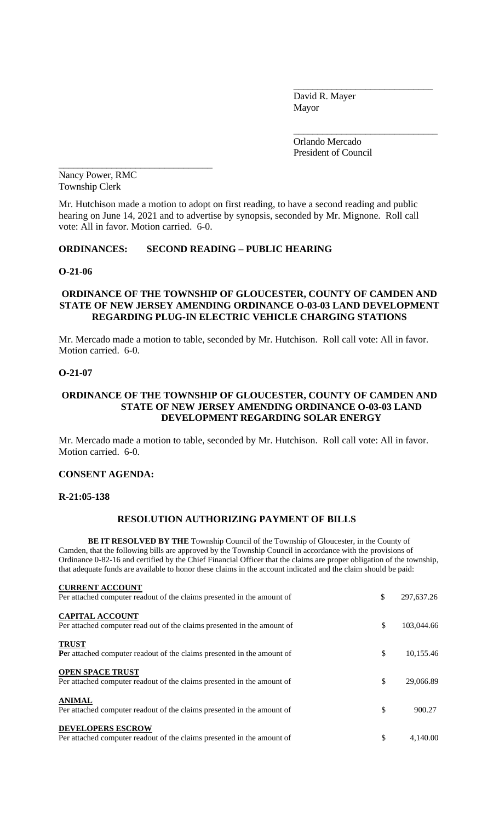David R. Mayer Mayor

\_\_\_\_\_\_\_\_\_\_\_\_\_\_\_\_\_\_\_\_\_\_\_\_\_\_\_\_\_

\_\_\_\_\_\_\_\_\_\_\_\_\_\_\_\_\_\_\_\_\_\_\_\_\_\_\_\_\_\_

Orlando Mercado President of Council

Nancy Power, RMC Township Clerk

\_\_\_\_\_\_\_\_\_\_\_\_\_\_\_\_\_\_\_\_\_\_\_\_\_\_\_\_\_\_\_\_

Mr. Hutchison made a motion to adopt on first reading, to have a second reading and public hearing on June 14, 2021 and to advertise by synopsis, seconded by Mr. Mignone. Roll call vote: All in favor. Motion carried. 6-0.

# **ORDINANCES: SECOND READING – PUBLIC HEARING**

## **O-21-06**

## **ORDINANCE OF THE TOWNSHIP OF GLOUCESTER, COUNTY OF CAMDEN AND STATE OF NEW JERSEY AMENDING ORDINANCE O-03-03 LAND DEVELOPMENT REGARDING PLUG-IN ELECTRIC VEHICLE CHARGING STATIONS**

Mr. Mercado made a motion to table, seconded by Mr. Hutchison. Roll call vote: All in favor. Motion carried. 6-0.

#### **O-21-07**

## **ORDINANCE OF THE TOWNSHIP OF GLOUCESTER, COUNTY OF CAMDEN AND STATE OF NEW JERSEY AMENDING ORDINANCE O-03-03 LAND DEVELOPMENT REGARDING SOLAR ENERGY**

Mr. Mercado made a motion to table, seconded by Mr. Hutchison. Roll call vote: All in favor. Motion carried. 6-0.

#### **CONSENT AGENDA:**

#### **R-21:05-138**

### **RESOLUTION AUTHORIZING PAYMENT OF BILLS**

**BE IT RESOLVED BY THE** Township Council of the Township of Gloucester, in the County of Camden, that the following bills are approved by the Township Council in accordance with the provisions of Ordinance 0-82-16 and certified by the Chief Financial Officer that the claims are proper obligation of the township, that adequate funds are available to honor these claims in the account indicated and the claim should be paid:

| <b>CURRENT ACCOUNT</b>                                                  |                  |
|-------------------------------------------------------------------------|------------------|
| Per attached computer readout of the claims presented in the amount of  | \$<br>297,637.26 |
| <b>CAPITAL ACCOUNT</b>                                                  |                  |
| Per attached computer read out of the claims presented in the amount of | \$<br>103,044.66 |
| <b>TRUST</b>                                                            |                  |
| Per attached computer readout of the claims presented in the amount of  | \$<br>10,155.46  |
| <b>OPEN SPACE TRUST</b>                                                 |                  |
| Per attached computer readout of the claims presented in the amount of  | \$<br>29,066.89  |
| <b>ANIMAL</b>                                                           |                  |
| Per attached computer readout of the claims presented in the amount of  | \$<br>900.27     |
| <b>DEVELOPERS ESCROW</b>                                                |                  |
| Per attached computer readout of the claims presented in the amount of  | \$<br>4.140.00   |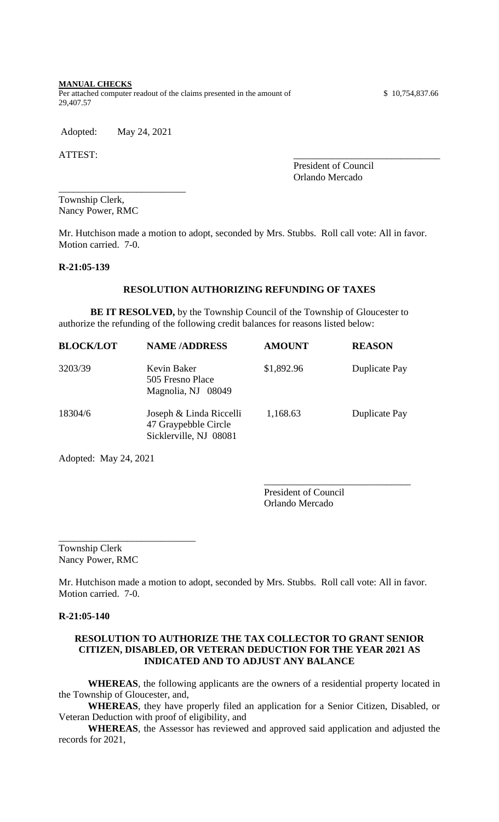#### **MANUAL CHECKS**

Per attached computer readout of the claims presented in the amount of \$ 10,754,837.66 29,407.57

Adopted: May 24, 2021

\_\_\_\_\_\_\_\_\_\_\_\_\_\_\_\_\_\_\_\_\_\_\_\_\_\_

ATTEST:

President of Council Orlando Mercado

Township Clerk, Nancy Power, RMC

Mr. Hutchison made a motion to adopt, seconded by Mrs. Stubbs. Roll call vote: All in favor. Motion carried. 7-0.

#### **R-21:05-139**

## **RESOLUTION AUTHORIZING REFUNDING OF TAXES**

**BE IT RESOLVED,** by the Township Council of the Township of Gloucester to authorize the refunding of the following credit balances for reasons listed below:

| <b>BLOCK/LOT</b> | <b>NAME/ADDRESS</b>                                                       | <b>AMOUNT</b> | <b>REASON</b> |
|------------------|---------------------------------------------------------------------------|---------------|---------------|
| 3203/39          | Kevin Baker<br>505 Fresno Place<br>Magnolia, NJ 08049                     | \$1,892.96    | Duplicate Pay |
| 18304/6          | Joseph & Linda Riccelli<br>47 Graypebble Circle<br>Sicklerville, NJ 08081 | 1,168.63      | Duplicate Pay |

Adopted: May 24, 2021

President of Council Orlando Mercado

\_\_\_\_\_\_\_\_\_\_\_\_\_\_\_\_\_\_\_\_\_\_\_\_\_\_\_\_\_\_

Township Clerk Nancy Power, RMC

\_\_\_\_\_\_\_\_\_\_\_\_\_\_\_\_\_\_\_\_\_\_\_\_\_\_\_\_

Mr. Hutchison made a motion to adopt, seconded by Mrs. Stubbs. Roll call vote: All in favor. Motion carried. 7-0.

#### **R-21:05-140**

## **RESOLUTION TO AUTHORIZE THE TAX COLLECTOR TO GRANT SENIOR CITIZEN, DISABLED, OR VETERAN DEDUCTION FOR THE YEAR 2021 AS INDICATED AND TO ADJUST ANY BALANCE**

**WHEREAS**, the following applicants are the owners of a residential property located in the Township of Gloucester, and,

**WHEREAS**, they have properly filed an application for a Senior Citizen, Disabled, or Veteran Deduction with proof of eligibility, and

**WHEREAS**, the Assessor has reviewed and approved said application and adjusted the records for 2021,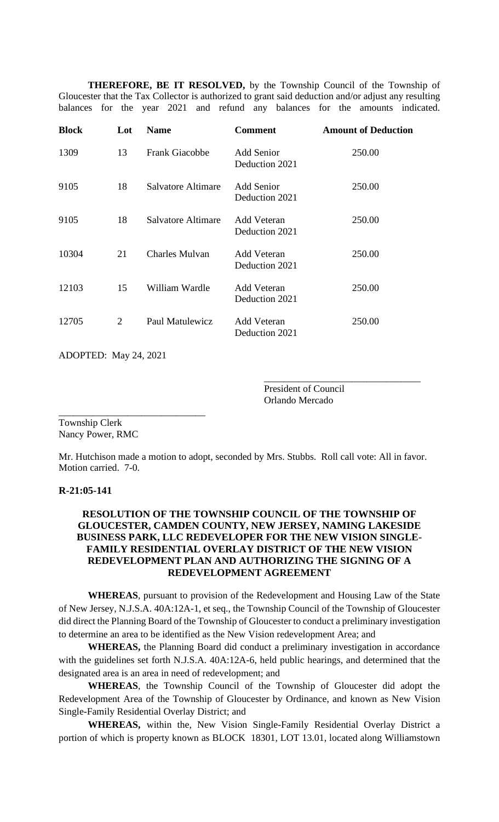**THEREFORE, BE IT RESOLVED,** by the Township Council of the Township of Gloucester that the Tax Collector is authorized to grant said deduction and/or adjust any resulting balances for the year 2021 and refund any balances for the amounts indicated.

| <b>Block</b> | Lot | <b>Name</b>           | <b>Comment</b>                      | <b>Amount of Deduction</b> |
|--------------|-----|-----------------------|-------------------------------------|----------------------------|
| 1309         | 13  | <b>Frank Giacobbe</b> | <b>Add Senior</b><br>Deduction 2021 | 250.00                     |
| 9105         | 18  | Salvatore Altimare    | Add Senior<br>Deduction 2021        | 250.00                     |
| 9105         | 18  | Salvatore Altimare    | Add Veteran<br>Deduction 2021       | 250.00                     |
| 10304        | 21  | <b>Charles Mulvan</b> | Add Veteran<br>Deduction 2021       | 250.00                     |
| 12103        | 15  | William Wardle        | Add Veteran<br>Deduction 2021       | 250.00                     |
| 12705        | 2   | Paul Matulewicz       | Add Veteran<br>Deduction 2021       | 250.00                     |

ADOPTED: May 24, 2021

\_\_\_\_\_\_\_\_\_\_\_\_\_\_\_\_\_\_\_\_\_\_\_\_\_\_\_\_\_\_

President of Council Orlando Mercado

\_\_\_\_\_\_\_\_\_\_\_\_\_\_\_\_\_\_\_\_\_\_\_\_\_\_\_\_\_\_\_\_

Township Clerk Nancy Power, RMC

Mr. Hutchison made a motion to adopt, seconded by Mrs. Stubbs. Roll call vote: All in favor. Motion carried. 7-0.

## **R-21:05-141**

# **RESOLUTION OF THE TOWNSHIP COUNCIL OF THE TOWNSHIP OF GLOUCESTER, CAMDEN COUNTY, NEW JERSEY, NAMING LAKESIDE BUSINESS PARK, LLC REDEVELOPER FOR THE NEW VISION SINGLE-FAMILY RESIDENTIAL OVERLAY DISTRICT OF THE NEW VISION REDEVELOPMENT PLAN AND AUTHORIZING THE SIGNING OF A REDEVELOPMENT AGREEMENT**

**WHEREAS**, pursuant to provision of the Redevelopment and Housing Law of the State of New Jersey, N.J.S.A. 40A:12A-1, et seq., the Township Council of the Township of Gloucester did direct the Planning Board of the Township of Gloucester to conduct a preliminary investigation to determine an area to be identified as the New Vision redevelopment Area; and

**WHEREAS,** the Planning Board did conduct a preliminary investigation in accordance with the guidelines set forth N.J.S.A. 40A:12A-6, held public hearings, and determined that the designated area is an area in need of redevelopment; and

**WHEREAS**, the Township Council of the Township of Gloucester did adopt the Redevelopment Area of the Township of Gloucester by Ordinance, and known as New Vision Single-Family Residential Overlay District; and

**WHEREAS,** within the, New Vision Single-Family Residential Overlay District a portion of which is property known as BLOCK 18301, LOT 13.01, located along Williamstown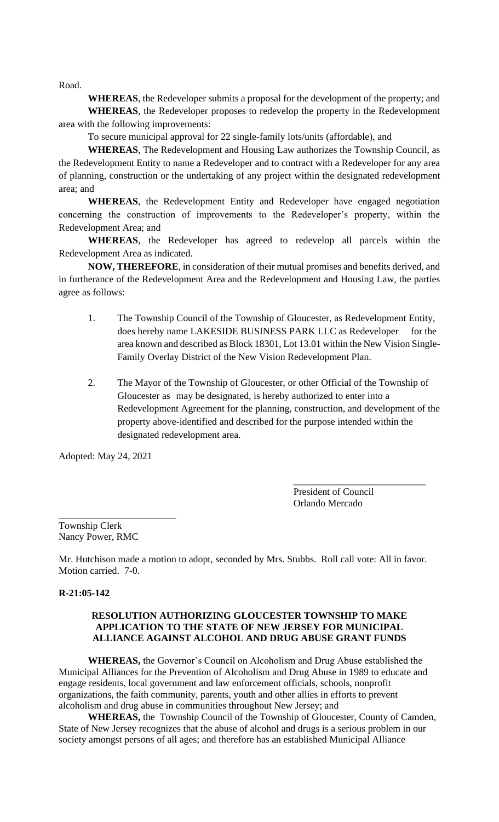Road.

**WHEREAS**, the Redeveloper submits a proposal for the development of the property; and **WHEREAS**, the Redeveloper proposes to redevelop the property in the Redevelopment area with the following improvements:

To secure municipal approval for 22 single-family lots/units (affordable), and

**WHEREAS**, The Redevelopment and Housing Law authorizes the Township Council, as the Redevelopment Entity to name a Redeveloper and to contract with a Redeveloper for any area of planning, construction or the undertaking of any project within the designated redevelopment area; and

**WHEREAS**, the Redevelopment Entity and Redeveloper have engaged negotiation concerning the construction of improvements to the Redeveloper's property, within the Redevelopment Area; and

**WHEREAS**, the Redeveloper has agreed to redevelop all parcels within the Redevelopment Area as indicated.

**NOW, THEREFORE**, in consideration of their mutual promises and benefits derived, and in furtherance of the Redevelopment Area and the Redevelopment and Housing Law, the parties agree as follows:

- 1. The Township Council of the Township of Gloucester, as Redevelopment Entity, does hereby name LAKESIDE BUSINESS PARK LLC as Redeveloper for the area known and described as Block 18301, Lot 13.01 within the New Vision Single-Family Overlay District of the New Vision Redevelopment Plan.
- 2. The Mayor of the Township of Gloucester, or other Official of the Township of Gloucester as may be designated, is hereby authorized to enter into a Redevelopment Agreement for the planning, construction, and development of the property above-identified and described for the purpose intended within the designated redevelopment area.

Adopted: May 24, 2021

President of Council Orlando Mercado

\_\_\_\_\_\_\_\_\_\_\_\_\_\_\_\_\_\_\_\_\_\_\_\_\_\_\_

Township Clerk Nancy Power, RMC

\_\_\_\_\_\_\_\_\_\_\_\_\_\_\_\_\_\_\_\_\_\_\_\_

Mr. Hutchison made a motion to adopt, seconded by Mrs. Stubbs. Roll call vote: All in favor. Motion carried. 7-0.

#### **R-21:05-142**

## **RESOLUTION AUTHORIZING GLOUCESTER TOWNSHIP TO MAKE APPLICATION TO THE STATE OF NEW JERSEY FOR MUNICIPAL ALLIANCE AGAINST ALCOHOL AND DRUG ABUSE GRANT FUNDS**

**WHEREAS,** the Governor's Council on Alcoholism and Drug Abuse established the Municipal Alliances for the Prevention of Alcoholism and Drug Abuse in 1989 to educate and engage residents, local government and law enforcement officials, schools, nonprofit organizations, the faith community, parents, youth and other allies in efforts to prevent alcoholism and drug abuse in communities throughout New Jersey; and

**WHEREAS,** the Township Council of the Township of Gloucester, County of Camden, State of New Jersey recognizes that the abuse of alcohol and drugs is a serious problem in our society amongst persons of all ages; and therefore has an established Municipal Alliance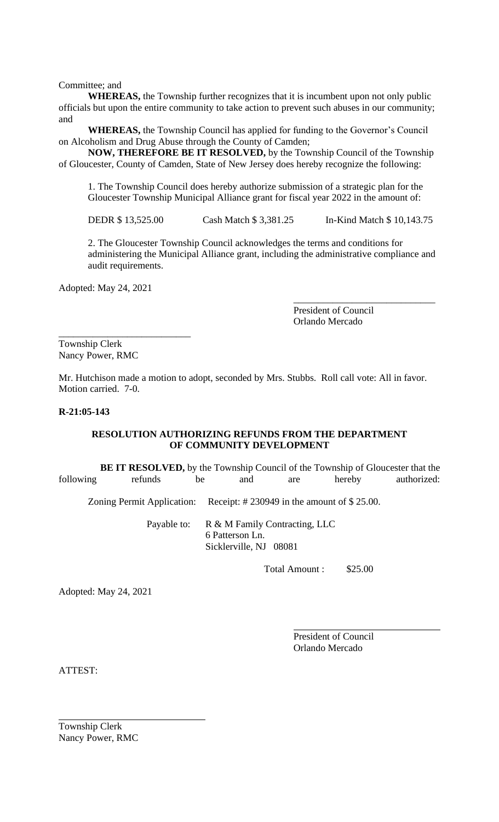Committee; and

**WHEREAS,** the Township further recognizes that it is incumbent upon not only public officials but upon the entire community to take action to prevent such abuses in our community; and

**WHEREAS,** the Township Council has applied for funding to the Governor's Council on Alcoholism and Drug Abuse through the County of Camden;

**NOW, THEREFORE BE IT RESOLVED,** by the Township Council of the Township of Gloucester, County of Camden, State of New Jersey does hereby recognize the following:

1. The Township Council does hereby authorize submission of a strategic plan for the Gloucester Township Municipal Alliance grant for fiscal year 2022 in the amount of:

DEDR \$ 13,525.00 Cash Match \$ 3,381.25 In-Kind Match \$ 10,143.75

2. The Gloucester Township Council acknowledges the terms and conditions for administering the Municipal Alliance grant, including the administrative compliance and audit requirements.

Adopted: May 24, 2021

\_\_\_\_\_\_\_\_\_\_\_\_\_\_\_\_\_\_\_\_\_\_\_\_\_\_\_

President of Council Orlando Mercado

\_\_\_\_\_\_\_\_\_\_\_\_\_\_\_\_\_\_\_\_\_\_\_\_\_\_\_\_\_

Township Clerk Nancy Power, RMC

Mr. Hutchison made a motion to adopt, seconded by Mrs. Stubbs. Roll call vote: All in favor. Motion carried. 7-0.

#### **R-21:05-143**

#### **RESOLUTION AUTHORIZING REFUNDS FROM THE DEPARTMENT OF COMMUNITY DEVELOPMENT**

 **BE IT RESOLVED,** by the Township Council of the Township of Gloucester that the following refunds be and are hereby authorized: Zoning Permit Application: Receipt: # 230949 in the amount of \$ 25.00.

> Payable to: R & M Family Contracting, LLC 6 Patterson Ln. Sicklerville, NJ 08081

> > Total Amount : \$25.00

Adopted: May 24, 2021

President of Council Orlando Mercado

ATTEST:

Township Clerk Nancy Power, RMC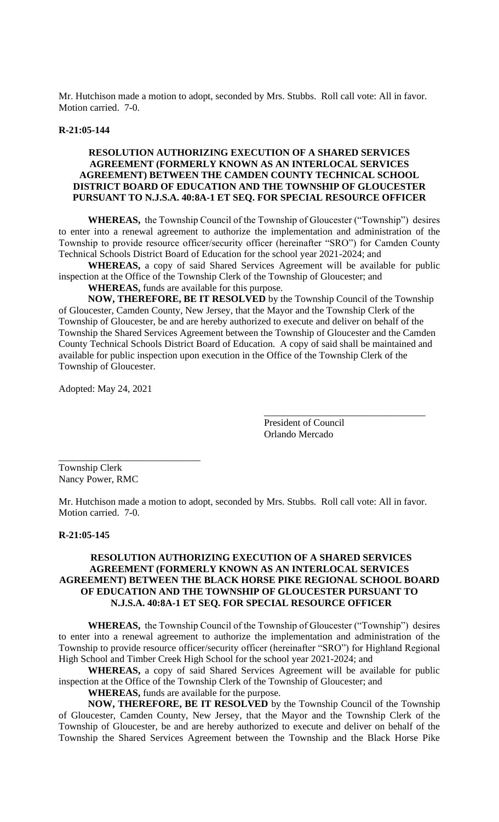Mr. Hutchison made a motion to adopt, seconded by Mrs. Stubbs. Roll call vote: All in favor. Motion carried. 7-0.

## **R-21:05-144**

## **RESOLUTION AUTHORIZING EXECUTION OF A SHARED SERVICES AGREEMENT (FORMERLY KNOWN AS AN INTERLOCAL SERVICES AGREEMENT) BETWEEN THE CAMDEN COUNTY TECHNICAL SCHOOL DISTRICT BOARD OF EDUCATION AND THE TOWNSHIP OF GLOUCESTER PURSUANT TO N.J.S.A. 40:8A-1 ET SEQ. FOR SPECIAL RESOURCE OFFICER**

**WHEREAS,** the Township Council of the Township of Gloucester ("Township") desires to enter into a renewal agreement to authorize the implementation and administration of the Township to provide resource officer/security officer (hereinafter "SRO") for Camden County Technical Schools District Board of Education for the school year 2021-2024; and

**WHEREAS,** a copy of said Shared Services Agreement will be available for public inspection at the Office of the Township Clerk of the Township of Gloucester; and

# **WHEREAS,** funds are available for this purpose.

**NOW, THEREFORE, BE IT RESOLVED** by the Township Council of the Township of Gloucester, Camden County, New Jersey, that the Mayor and the Township Clerk of the Township of Gloucester, be and are hereby authorized to execute and deliver on behalf of the Township the Shared Services Agreement between the Township of Gloucester and the Camden County Technical Schools District Board of Education. A copy of said shall be maintained and available for public inspection upon execution in the Office of the Township Clerk of the Township of Gloucester.

Adopted: May 24, 2021

President of Council Orlando Mercado

\_\_\_\_\_\_\_\_\_\_\_\_\_\_\_\_\_\_\_\_\_\_\_\_\_\_\_\_\_\_\_\_\_

Township Clerk Nancy Power, RMC

\_\_\_\_\_\_\_\_\_\_\_\_\_\_\_\_\_\_\_\_\_\_\_\_\_\_\_\_\_

Mr. Hutchison made a motion to adopt, seconded by Mrs. Stubbs. Roll call vote: All in favor. Motion carried. 7-0.

#### **R-21:05-145**

## **RESOLUTION AUTHORIZING EXECUTION OF A SHARED SERVICES AGREEMENT (FORMERLY KNOWN AS AN INTERLOCAL SERVICES AGREEMENT) BETWEEN THE BLACK HORSE PIKE REGIONAL SCHOOL BOARD OF EDUCATION AND THE TOWNSHIP OF GLOUCESTER PURSUANT TO N.J.S.A. 40:8A-1 ET SEQ. FOR SPECIAL RESOURCE OFFICER**

**WHEREAS,** the Township Council of the Township of Gloucester ("Township") desires to enter into a renewal agreement to authorize the implementation and administration of the Township to provide resource officer/security officer (hereinafter "SRO") for Highland Regional High School and Timber Creek High School for the school year 2021-2024; and

**WHEREAS,** a copy of said Shared Services Agreement will be available for public inspection at the Office of the Township Clerk of the Township of Gloucester; and

**WHEREAS,** funds are available for the purpose.

**NOW, THEREFORE, BE IT RESOLVED** by the Township Council of the Township of Gloucester, Camden County, New Jersey, that the Mayor and the Township Clerk of the Township of Gloucester, be and are hereby authorized to execute and deliver on behalf of the Township the Shared Services Agreement between the Township and the Black Horse Pike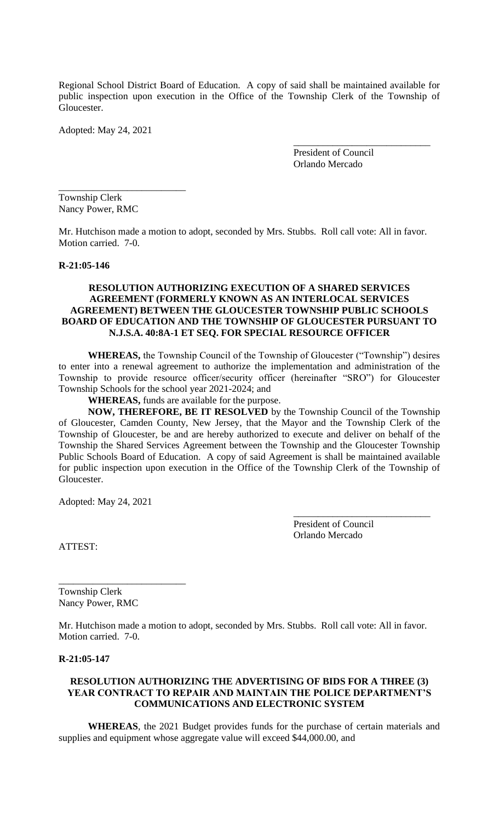Regional School District Board of Education. A copy of said shall be maintained available for public inspection upon execution in the Office of the Township Clerk of the Township of Gloucester.

Adopted: May 24, 2021

President of Council Orlando Mercado

\_\_\_\_\_\_\_\_\_\_\_\_\_\_\_\_\_\_\_\_\_\_\_\_\_\_\_\_

Township Clerk Nancy Power, RMC

\_\_\_\_\_\_\_\_\_\_\_\_\_\_\_\_\_\_\_\_\_\_\_\_\_\_

Mr. Hutchison made a motion to adopt, seconded by Mrs. Stubbs. Roll call vote: All in favor. Motion carried. 7-0.

#### **R-21:05-146**

## **RESOLUTION AUTHORIZING EXECUTION OF A SHARED SERVICES AGREEMENT (FORMERLY KNOWN AS AN INTERLOCAL SERVICES AGREEMENT) BETWEEN THE GLOUCESTER TOWNSHIP PUBLIC SCHOOLS BOARD OF EDUCATION AND THE TOWNSHIP OF GLOUCESTER PURSUANT TO N.J.S.A. 40:8A-1 ET SEQ. FOR SPECIAL RESOURCE OFFICER**

**WHEREAS,** the Township Council of the Township of Gloucester ("Township") desires to enter into a renewal agreement to authorize the implementation and administration of the Township to provide resource officer/security officer (hereinafter "SRO") for Gloucester Township Schools for the school year 2021-2024; and

**WHEREAS,** funds are available for the purpose.

**NOW, THEREFORE, BE IT RESOLVED** by the Township Council of the Township of Gloucester, Camden County, New Jersey, that the Mayor and the Township Clerk of the Township of Gloucester, be and are hereby authorized to execute and deliver on behalf of the Township the Shared Services Agreement between the Township and the Gloucester Township Public Schools Board of Education. A copy of said Agreement is shall be maintained available for public inspection upon execution in the Office of the Township Clerk of the Township of Gloucester.

Adopted: May 24, 2021

President of Council Orlando Mercado

\_\_\_\_\_\_\_\_\_\_\_\_\_\_\_\_\_\_\_\_\_\_\_\_\_\_\_\_

ATTEST:

Township Clerk Nancy Power, RMC

\_\_\_\_\_\_\_\_\_\_\_\_\_\_\_\_\_\_\_\_\_\_\_\_\_\_

Mr. Hutchison made a motion to adopt, seconded by Mrs. Stubbs. Roll call vote: All in favor. Motion carried. 7-0.

#### **R-21:05-147**

#### **RESOLUTION AUTHORIZING THE ADVERTISING OF BIDS FOR A THREE (3) YEAR CONTRACT TO REPAIR AND MAINTAIN THE POLICE DEPARTMENT'S COMMUNICATIONS AND ELECTRONIC SYSTEM**

**WHEREAS**, the 2021 Budget provides funds for the purchase of certain materials and supplies and equipment whose aggregate value will exceed \$44,000.00, and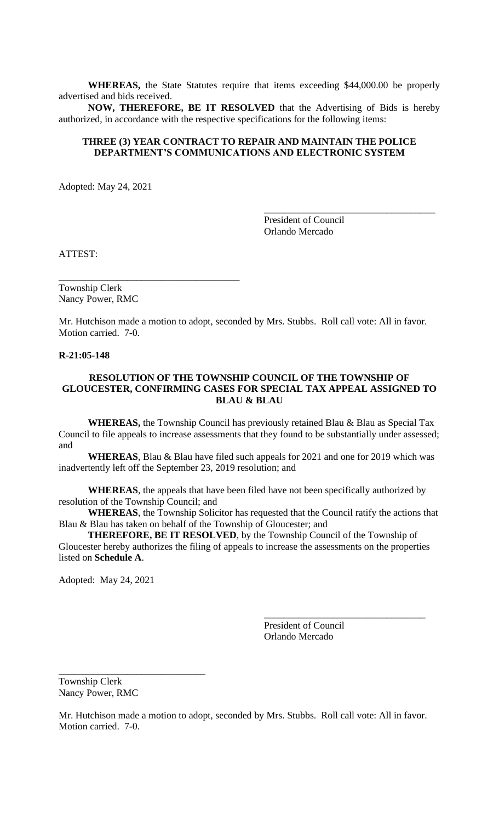**WHEREAS,** the State Statutes require that items exceeding \$44,000.00 be properly advertised and bids received.

**NOW, THEREFORE, BE IT RESOLVED** that the Advertising of Bids is hereby authorized, in accordance with the respective specifications for the following items:

#### **THREE (3) YEAR CONTRACT TO REPAIR AND MAINTAIN THE POLICE DEPARTMENT'S COMMUNICATIONS AND ELECTRONIC SYSTEM**

Adopted: May 24, 2021

President of Council Orlando Mercado

\_\_\_\_\_\_\_\_\_\_\_\_\_\_\_\_\_\_\_\_\_\_\_\_\_\_\_\_\_\_\_\_\_\_\_

ATTEST:

Township Clerk Nancy Power, RMC

\_\_\_\_\_\_\_\_\_\_\_\_\_\_\_\_\_\_\_\_\_\_\_\_\_\_\_\_\_\_\_\_\_\_\_\_\_

Mr. Hutchison made a motion to adopt, seconded by Mrs. Stubbs. Roll call vote: All in favor. Motion carried. 7-0.

#### **R-21:05-148**

## **RESOLUTION OF THE TOWNSHIP COUNCIL OF THE TOWNSHIP OF GLOUCESTER, CONFIRMING CASES FOR SPECIAL TAX APPEAL ASSIGNED TO BLAU & BLAU**

**WHEREAS,** the Township Council has previously retained Blau & Blau as Special Tax Council to file appeals to increase assessments that they found to be substantially under assessed; and

**WHEREAS**, Blau & Blau have filed such appeals for 2021 and one for 2019 which was inadvertently left off the September 23, 2019 resolution; and

**WHEREAS**, the appeals that have been filed have not been specifically authorized by resolution of the Township Council; and

**WHEREAS**, the Township Solicitor has requested that the Council ratify the actions that Blau & Blau has taken on behalf of the Township of Gloucester; and

**THEREFORE, BE IT RESOLVED**, by the Township Council of the Township of Gloucester hereby authorizes the filing of appeals to increase the assessments on the properties listed on **Schedule A**.

Adopted: May 24, 2021

President of Council Orlando Mercado

\_\_\_\_\_\_\_\_\_\_\_\_\_\_\_\_\_\_\_\_\_\_\_\_\_\_\_\_\_\_\_\_\_

Township Clerk Nancy Power, RMC

\_\_\_\_\_\_\_\_\_\_\_\_\_\_\_\_\_\_\_\_\_\_\_\_\_\_\_\_\_\_

Mr. Hutchison made a motion to adopt, seconded by Mrs. Stubbs. Roll call vote: All in favor. Motion carried. 7-0.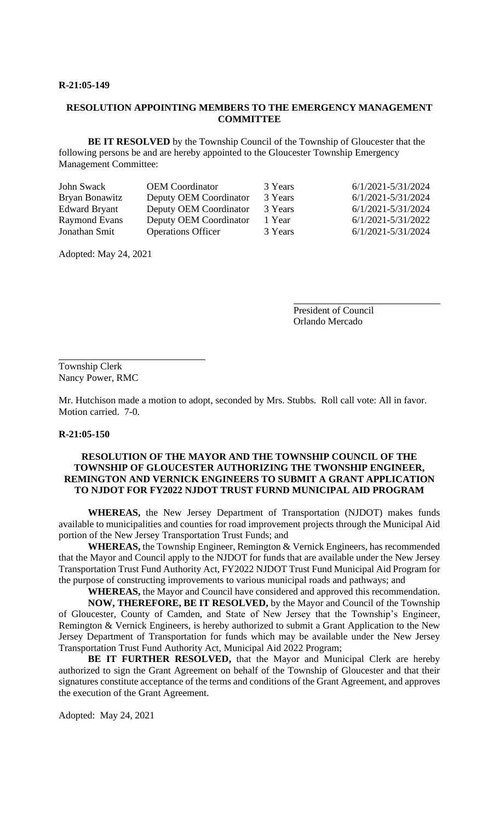#### **R-21:05-149**

## **RESOLUTION APPOINTING MEMBERS TO THE EMERGENCY MANAGEMENT COMMITTEE**

**BE IT RESOLVED** by the Township Council of the Township of Gloucester that the following persons be and are hereby appointed to the Gloucester Township Emergency Management Committee:

| John Swack     | <b>OEM</b> Coordinator    | 3 Years | 6/1/2021-5/31/2024 |
|----------------|---------------------------|---------|--------------------|
| Bryan Bonawitz | Deputy OEM Coordinator    | 3 Years | 6/1/2021-5/31/2024 |
| Edward Bryant  | Deputy OEM Coordinator    | 3 Years | 6/1/2021-5/31/2024 |
| Raymond Evans  | Deputy OEM Coordinator    | 1 Year  | 6/1/2021-5/31/2022 |
| Jonathan Smit  | <b>Operations Officer</b> | 3 Years | 6/1/2021-5/31/2024 |
|                |                           |         |                    |

Adopted: May 24, 2021

President of Council Orlando Mercado

Township Clerk Nancy Power, RMC

Mr. Hutchison made a motion to adopt, seconded by Mrs. Stubbs. Roll call vote: All in favor. Motion carried. 7-0.

#### **R-21:05-150**

#### **RESOLUTION OF THE MAYOR AND THE TOWNSHIP COUNCIL OF THE TOWNSHIP OF GLOUCESTER AUTHORIZING THE TWONSHIP ENGINEER, REMINGTON AND VERNICK ENGINEERS TO SUBMIT A GRANT APPLICATION TO NJDOT FOR FY2022 NJDOT TRUST FURND MUNICIPAL AID PROGRAM**

**WHEREAS,** the New Jersey Department of Transportation (NJDOT) makes funds available to municipalities and counties for road improvement projects through the Municipal Aid portion of the New Jersey Transportation Trust Funds; and

**WHEREAS,** the Township Engineer, Remington & Vernick Engineers, has recommended that the Mayor and Council apply to the NJDOT for funds that are available under the New Jersey Transportation Trust Fund Authority Act, FY2022 NJDOT Trust Fund Municipal Aid Program for the purpose of constructing improvements to various municipal roads and pathways; and

**WHEREAS,** the Mayor and Council have considered and approved this recommendation. **NOW, THEREFORE, BE IT RESOLVED,** by the Mayor and Council of the Township of Gloucester, County of Camden, and State of New Jersey that the Township's Engineer, Remington & Vernick Engineers, is hereby authorized to submit a Grant Application to the New Jersey Department of Transportation for funds which may be available under the New Jersey Transportation Trust Fund Authority Act, Municipal Aid 2022 Program;

**BE IT FURTHER RESOLVED,** that the Mayor and Municipal Clerk are hereby authorized to sign the Grant Agreement on behalf of the Township of Gloucester and that their signatures constitute acceptance of the terms and conditions of the Grant Agreement, and approves the execution of the Grant Agreement.

Adopted: May 24, 2021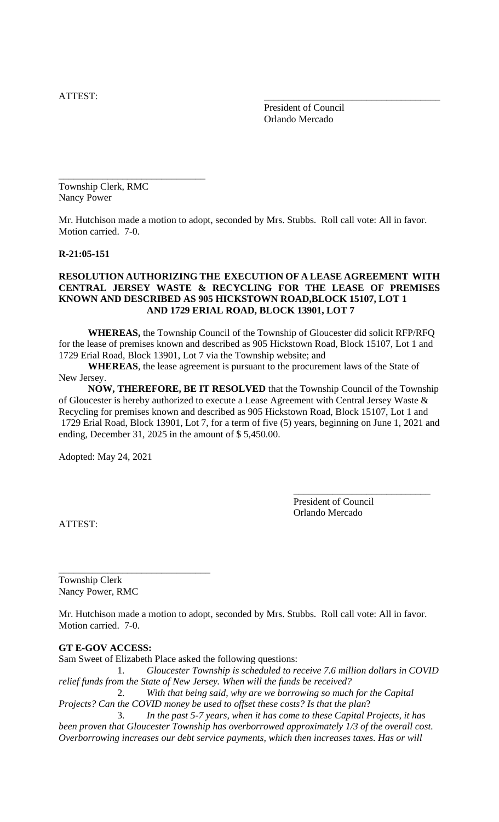ATTEST:

President of Council Orlando Mercado

Township Clerk, RMC Nancy Power

\_\_\_\_\_\_\_\_\_\_\_\_\_\_\_\_\_\_\_\_\_\_\_\_\_\_\_\_\_\_

Mr. Hutchison made a motion to adopt, seconded by Mrs. Stubbs. Roll call vote: All in favor. Motion carried. 7-0.

## **R-21:05-151**

## **RESOLUTION AUTHORIZING THE EXECUTION OF A LEASE AGREEMENT WITH CENTRAL JERSEY WASTE & RECYCLING FOR THE LEASE OF PREMISES KNOWN AND DESCRIBED AS 905 HICKSTOWN ROAD,BLOCK 15107, LOT 1 AND 1729 ERIAL ROAD, BLOCK 13901, LOT 7**

**WHEREAS,** the Township Council of the Township of Gloucester did solicit RFP/RFQ for the lease of premises known and described as 905 Hickstown Road, Block 15107, Lot 1 and 1729 Erial Road, Block 13901, Lot 7 via the Township website; and

**WHEREAS**, the lease agreement is pursuant to the procurement laws of the State of New Jersey.

**NOW, THEREFORE, BE IT RESOLVED** that the Township Council of the Township of Gloucester is hereby authorized to execute a Lease Agreement with Central Jersey Waste & Recycling for premises known and described as 905 Hickstown Road, Block 15107, Lot 1 and 1729 Erial Road, Block 13901, Lot 7, for a term of five (5) years, beginning on June 1, 2021 and ending, December 31, 2025 in the amount of \$ 5,450.00.

Adopted: May 24, 2021

President of Council Orlando Mercado

\_\_\_\_\_\_\_\_\_\_\_\_\_\_\_\_\_\_\_\_\_\_\_\_\_\_\_\_

ATTEST:

Township Clerk Nancy Power, RMC

\_\_\_\_\_\_\_\_\_\_\_\_\_\_\_\_\_\_\_\_\_\_\_\_\_\_\_\_\_\_\_

Mr. Hutchison made a motion to adopt, seconded by Mrs. Stubbs. Roll call vote: All in favor. Motion carried. 7-0.

# **GT E-GOV ACCESS:**

Sam Sweet of Elizabeth Place asked the following questions:

1. *Gloucester Township is scheduled to receive 7.6 million dollars in COVID relief funds from the State of New Jersey. When will the funds be received?*

 2. *With that being said, why are we borrowing so much for the Capital Projects? Can the COVID money be used to offset these costs? Is that the plan*?

3. *In the past 5-7 years, when it has come to these Capital Projects, it has been proven that Gloucester Township has overborrowed approximately 1/3 of the overall cost. Overborrowing increases our debt service payments, which then increases taxes. Has or will*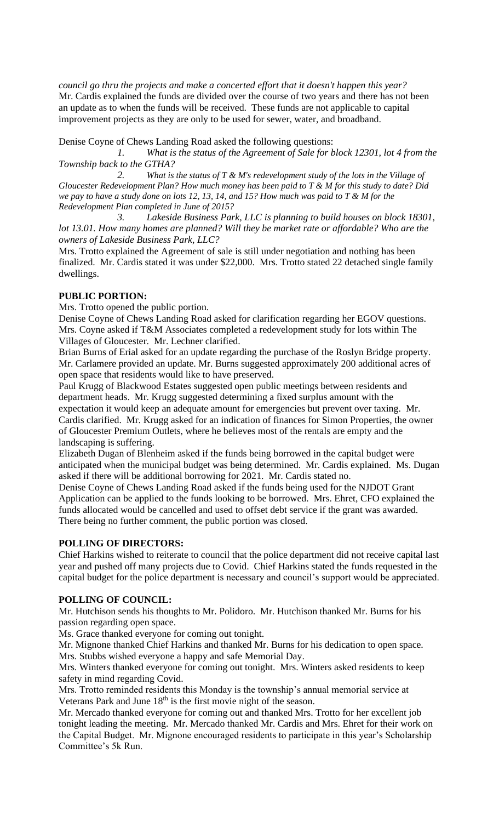*council go thru the projects and make a concerted effort that it doesn't happen this year?* Mr. Cardis explained the funds are divided over the course of two years and there has not been an update as to when the funds will be received. These funds are not applicable to capital improvement projects as they are only to be used for sewer, water, and broadband.

Denise Coyne of Chews Landing Road asked the following questions:

*1. What is the status of the Agreement of Sale for block 12301, lot 4 from the Township back to the GTHA?*

*2. What is the status of T & M's redevelopment study of the lots in the Village of Gloucester Redevelopment Plan? How much money has been paid to T & M for this study to date? Did we pay to have a study done on lots 12, 13, 14, and 15? How much was paid to T & M for the Redevelopment Plan completed in June of 2015?*

*3. Lakeside Business Park, LLC is planning to build houses on block 18301,*  lot 13.01. How many homes are planned? Will they be market rate or affordable? Who are the *owners of Lakeside Business Park, LLC?*

Mrs. Trotto explained the Agreement of sale is still under negotiation and nothing has been finalized. Mr. Cardis stated it was under \$22,000. Mrs. Trotto stated 22 detached single family dwellings.

### **PUBLIC PORTION:**

Mrs. Trotto opened the public portion.

Denise Coyne of Chews Landing Road asked for clarification regarding her EGOV questions. Mrs. Coyne asked if T&M Associates completed a redevelopment study for lots within The Villages of Gloucester. Mr. Lechner clarified.

Brian Burns of Erial asked for an update regarding the purchase of the Roslyn Bridge property. Mr. Carlamere provided an update. Mr. Burns suggested approximately 200 additional acres of open space that residents would like to have preserved.

Paul Krugg of Blackwood Estates suggested open public meetings between residents and department heads. Mr. Krugg suggested determining a fixed surplus amount with the expectation it would keep an adequate amount for emergencies but prevent over taxing. Mr. Cardis clarified. Mr. Krugg asked for an indication of finances for Simon Properties, the owner of Gloucester Premium Outlets, where he believes most of the rentals are empty and the landscaping is suffering.

Elizabeth Dugan of Blenheim asked if the funds being borrowed in the capital budget were anticipated when the municipal budget was being determined. Mr. Cardis explained. Ms. Dugan asked if there will be additional borrowing for 2021. Mr. Cardis stated no.

Denise Coyne of Chews Landing Road asked if the funds being used for the NJDOT Grant Application can be applied to the funds looking to be borrowed. Mrs. Ehret, CFO explained the funds allocated would be cancelled and used to offset debt service if the grant was awarded. There being no further comment, the public portion was closed.

## **POLLING OF DIRECTORS:**

Chief Harkins wished to reiterate to council that the police department did not receive capital last year and pushed off many projects due to Covid. Chief Harkins stated the funds requested in the capital budget for the police department is necessary and council's support would be appreciated.

#### **POLLING OF COUNCIL:**

Mr. Hutchison sends his thoughts to Mr. Polidoro. Mr. Hutchison thanked Mr. Burns for his passion regarding open space.

Ms. Grace thanked everyone for coming out tonight.

Mr. Mignone thanked Chief Harkins and thanked Mr. Burns for his dedication to open space. Mrs. Stubbs wished everyone a happy and safe Memorial Day.

Mrs. Winters thanked everyone for coming out tonight. Mrs. Winters asked residents to keep safety in mind regarding Covid.

Mrs. Trotto reminded residents this Monday is the township's annual memorial service at Veterans Park and June  $18<sup>th</sup>$  is the first movie night of the season.

Mr. Mercado thanked everyone for coming out and thanked Mrs. Trotto for her excellent job tonight leading the meeting. Mr. Mercado thanked Mr. Cardis and Mrs. Ehret for their work on the Capital Budget. Mr. Mignone encouraged residents to participate in this year's Scholarship Committee's 5k Run.